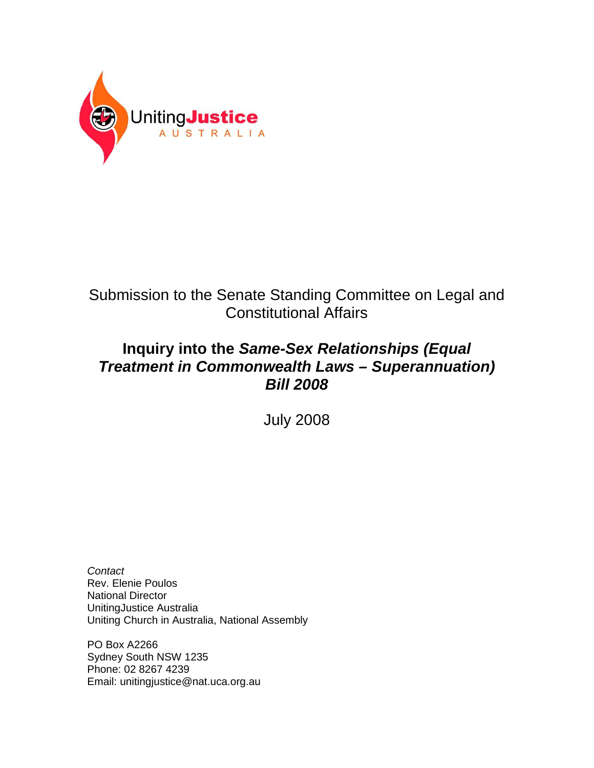

# Submission to the Senate Standing Committee on Legal and Constitutional Affairs

# **Inquiry into the Same-Sex Relationships (Equal Treatment in Commonwealth Laws – Superannuation) Bill 2008**

July 2008

**Contact** Rev. Elenie Poulos National Director UnitingJustice Australia Uniting Church in Australia, National Assembly

PO Box A2266 Sydney South NSW 1235 Phone: 02 8267 4239 Email: unitingjustice@nat.uca.org.au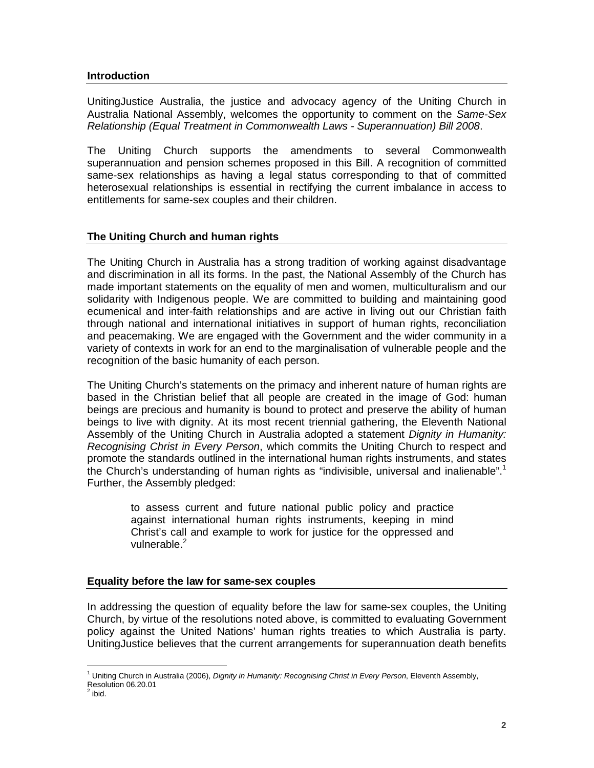#### **Introduction**

UnitingJustice Australia, the justice and advocacy agency of the Uniting Church in Australia National Assembly, welcomes the opportunity to comment on the Same-Sex Relationship (Equal Treatment in Commonwealth Laws - Superannuation) Bill 2008.

The Uniting Church supports the amendments to several Commonwealth superannuation and pension schemes proposed in this Bill. A recognition of committed same-sex relationships as having a legal status corresponding to that of committed heterosexual relationships is essential in rectifying the current imbalance in access to entitlements for same-sex couples and their children.

## **The Uniting Church and human rights**

The Uniting Church in Australia has a strong tradition of working against disadvantage and discrimination in all its forms. In the past, the National Assembly of the Church has made important statements on the equality of men and women, multiculturalism and our solidarity with Indigenous people. We are committed to building and maintaining good ecumenical and inter-faith relationships and are active in living out our Christian faith through national and international initiatives in support of human rights, reconciliation and peacemaking. We are engaged with the Government and the wider community in a variety of contexts in work for an end to the marginalisation of vulnerable people and the recognition of the basic humanity of each person.

The Uniting Church's statements on the primacy and inherent nature of human rights are based in the Christian belief that all people are created in the image of God: human beings are precious and humanity is bound to protect and preserve the ability of human beings to live with dignity. At its most recent triennial gathering, the Eleventh National Assembly of the Uniting Church in Australia adopted a statement Dignity in Humanity: Recognising Christ in Every Person, which commits the Uniting Church to respect and promote the standards outlined in the international human rights instruments, and states the Church's understanding of human rights as "indivisible, universal and inalienable".<sup>1</sup> Further, the Assembly pledged:

> to assess current and future national public policy and practice against international human rights instruments, keeping in mind Christ's call and example to work for justice for the oppressed and vulnerable.<sup>2</sup>

## **Equality before the law for same-sex couples**

In addressing the question of equality before the law for same-sex couples, the Uniting Church, by virtue of the resolutions noted above, is committed to evaluating Government policy against the United Nations' human rights treaties to which Australia is party. UnitingJustice believes that the current arrangements for superannuation death benefits

<sup>&</sup>lt;u>.</u> <sup>1</sup> Uniting Church in Australia (2006), Dignity in Humanity: Recognising Christ in Every Person, Eleventh Assembly, Resolution 06.20.01<br><sup>2</sup> ibid.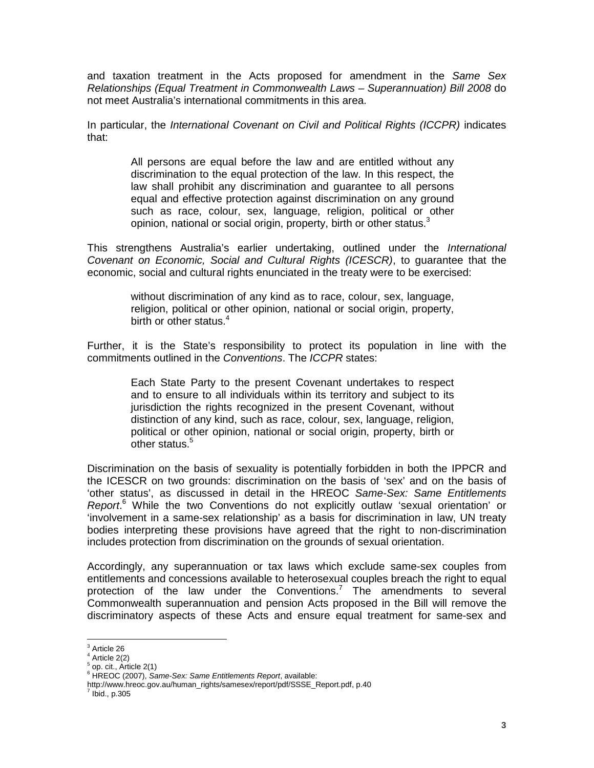and taxation treatment in the Acts proposed for amendment in the Same Sex Relationships (Equal Treatment in Commonwealth Laws – Superannuation) Bill 2008 do not meet Australia's international commitments in this area.

In particular, the International Covenant on Civil and Political Rights (ICCPR) indicates that:

> All persons are equal before the law and are entitled without any discrimination to the equal protection of the law. In this respect, the law shall prohibit any discrimination and guarantee to all persons equal and effective protection against discrimination on any ground such as race, colour, sex, language, religion, political or other opinion, national or social origin, property, birth or other status.<sup>3</sup>

This strengthens Australia's earlier undertaking, outlined under the *International* Covenant on Economic, Social and Cultural Rights (ICESCR), to guarantee that the economic, social and cultural rights enunciated in the treaty were to be exercised:

> without discrimination of any kind as to race, colour, sex, language, religion, political or other opinion, national or social origin, property, birth or other status.<sup>4</sup>

Further, it is the State's responsibility to protect its population in line with the commitments outlined in the Conventions. The ICCPR states:

> Each State Party to the present Covenant undertakes to respect and to ensure to all individuals within its territory and subject to its jurisdiction the rights recognized in the present Covenant, without distinction of any kind, such as race, colour, sex, language, religion, political or other opinion, national or social origin, property, birth or other status.<sup>5</sup>

Discrimination on the basis of sexuality is potentially forbidden in both the IPPCR and the ICESCR on two grounds: discrimination on the basis of 'sex' and on the basis of 'other status', as discussed in detail in the HREOC Same-Sex: Same Entitlements Report.<sup>6</sup> While the two Conventions do not explicitly outlaw 'sexual orientation' or 'involvement in a same-sex relationship' as a basis for discrimination in law, UN treaty bodies interpreting these provisions have agreed that the right to non-discrimination includes protection from discrimination on the grounds of sexual orientation.

Accordingly, any superannuation or tax laws which exclude same-sex couples from entitlements and concessions available to heterosexual couples breach the right to equal protection of the law under the Conventions.<sup>7</sup> The amendments to several Commonwealth superannuation and pension Acts proposed in the Bill will remove the discriminatory aspects of these Acts and ensure equal treatment for same-sex and

 3 Article 26

 $4$  Article 2(2)

 $<sup>5</sup>$  op. cit., Article 2(1)</sup>

<sup>&</sup>lt;sup>6</sup> HREOC (2007), Same-Sex: Same Entitlements Report, available:

http://www.hreoc.gov.au/human\_rights/samesex/report/pdf/SSSE\_Report.pdf, p.40

 $<sup>7</sup>$  Ibid., p.305</sup>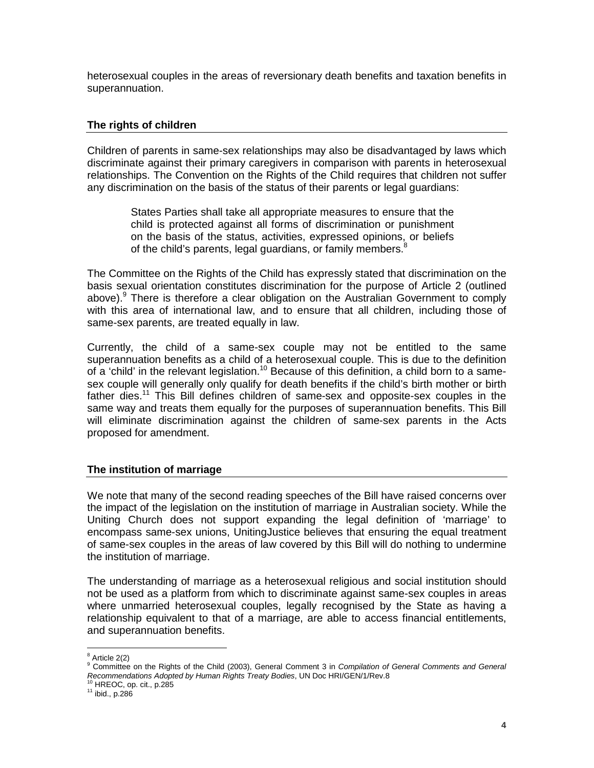heterosexual couples in the areas of reversionary death benefits and taxation benefits in superannuation.

### **The rights of children**

Children of parents in same-sex relationships may also be disadvantaged by laws which discriminate against their primary caregivers in comparison with parents in heterosexual relationships. The Convention on the Rights of the Child requires that children not suffer any discrimination on the basis of the status of their parents or legal guardians:

> States Parties shall take all appropriate measures to ensure that the child is protected against all forms of discrimination or punishment on the basis of the status, activities, expressed opinions, or beliefs of the child's parents, legal guardians, or family members.<sup>8</sup>

The Committee on the Rights of the Child has expressly stated that discrimination on the basis sexual orientation constitutes discrimination for the purpose of Article 2 (outlined above). <sup>9</sup> There is therefore a clear obligation on the Australian Government to comply with this area of international law, and to ensure that all children, including those of same-sex parents, are treated equally in law.

Currently, the child of a same-sex couple may not be entitled to the same superannuation benefits as a child of a heterosexual couple. This is due to the definition of a 'child' in the relevant legislation.<sup>10</sup> Because of this definition, a child born to a samesex couple will generally only qualify for death benefits if the child's birth mother or birth father dies.<sup>11</sup> This Bill defines children of same-sex and opposite-sex couples in the same way and treats them equally for the purposes of superannuation benefits. This Bill will eliminate discrimination against the children of same-sex parents in the Acts proposed for amendment.

#### **The institution of marriage**

We note that many of the second reading speeches of the Bill have raised concerns over the impact of the legislation on the institution of marriage in Australian society. While the Uniting Church does not support expanding the legal definition of 'marriage' to encompass same-sex unions, UnitingJustice believes that ensuring the equal treatment of same-sex couples in the areas of law covered by this Bill will do nothing to undermine the institution of marriage.

The understanding of marriage as a heterosexual religious and social institution should not be used as a platform from which to discriminate against same-sex couples in areas where unmarried heterosexual couples, legally recognised by the State as having a relationship equivalent to that of a marriage, are able to access financial entitlements, and superannuation benefits.

 $^8$  Article 2(2)

<sup>&</sup>lt;sup>9</sup> Committee on the Rights of the Child (2003), General Comment 3 in Compilation of General Comments and General Recommendations Adopted by Human Rights Treaty Bodies, UN Doc HRI/GEN/1/Rev.8<br><sup>10</sup> HREOC, op. cit., p.285

 $11$  ibid., p.286